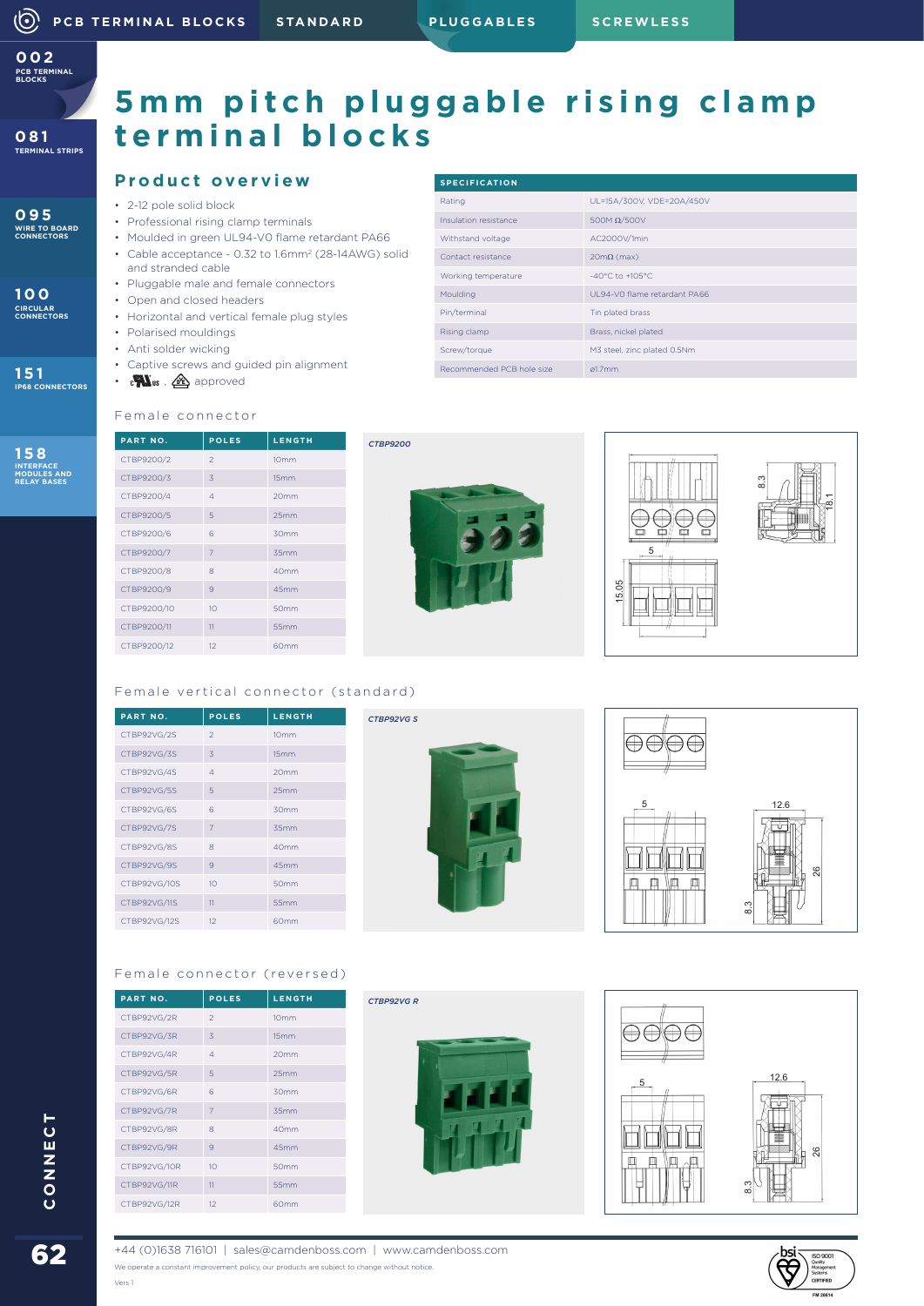**PCB TERMINAL BLOCKS 002**

**081 TERMINAL STRIPS**

**095 WIRE TO BOARD CONNECTORS**

**100 CIRCULAR CONNECTORS**

**151 IP68 CONNECTORS**

**158 INTERFACE MODULES AND RELAY BASES**

## 5mm pitch pluggable rising clamp **terminal blocks**

### **Product overview**

- 2-12 pole solid block
- Professional rising clamp terminals
- Moulded in green UL94-V0 flame retardant PA66
- Cable acceptance 0.32 to 1.6mm2 (28-14AWG) solid and stranded cable
- Pluggable male and female connectors
- Open and closed headers
- Horizontal and vertical female plug styles • Polarised mouldings
- Anti solder wicking
- 
- Captive screws and guided pin alignment
- $\cdot$  c $\mathbf{W}_{\text{us}}$  ,  $\mathbf{\mathcal{Q}}$  approved

| <b>SPECIFICATION</b>      |                                     |
|---------------------------|-------------------------------------|
| Rating                    | UL=15A/300V, VDE=20A/450V           |
| Insulation resistance     | 500M $\Omega$ /500V                 |
| Withstand voltage         | AC2000V/1min                        |
| Contact resistance        | $20m\Omega$ (max)                   |
| Working temperature       | $-40^{\circ}$ C to $+105^{\circ}$ C |
| Moulding                  | UL94-VO flame retardant PA66        |
| Pin/terminal              | Tin plated brass                    |
| Rising clamp              | Brass, nickel plated                |
| Screw/torque              | M3 steel, zinc plated 0.5Nm         |
| Recommended PCB hole size | a1.7mm                              |



| <b>PART NO.</b> | <b>POLES</b>    | <b>LENGTH</b>    |
|-----------------|-----------------|------------------|
| CTBP9200/2      | $\mathcal{P}$   | 10 <sub>mm</sub> |
| CTBP9200/3      | 3               | 15mm             |
| CTBP9200/4      | $\Delta$        | 20 <sub>mm</sub> |
| CTBP9200/5      | 5               | 25mm             |
| CTBP9200/6      | 6               | 30mm             |
| CTBP9200/7      | $\overline{7}$  | 35mm             |
| CTBP9200/8      | 8               | 40 <sub>mm</sub> |
| CTBP9200/9      | 9               | 45mm             |
| CTBP9200/10     | 10 <sup>1</sup> | 50mm             |
| CTBP9200/11     | 11              | 55mm             |
| CTBP9200/12     | 12              | 60 <sub>mm</sub> |



*CTBP9200*

*CTBP92VG R*





### Female vertical connector (standard)

| <b>PART NO.</b> | <b>POLES</b>    | <b>LENGTH</b>    |
|-----------------|-----------------|------------------|
| CTBP92VG/2S     | $\mathfrak{D}$  | 10 <sub>mm</sub> |
| CTBP92VG/3S     | 3               | 15mm             |
| CTBP92VG/4S     | $\Delta$        | 20 <sub>mm</sub> |
| CTBP92VG/5S     | 5               | 25mm             |
| CTBP92VG/6S     | 6               | 30mm             |
| CTBP92VG/7S     | $\overline{7}$  | 35mm             |
| CTBP92VG/8S     | 8               | 40 <sub>mm</sub> |
| CTBP92VG/9S     | 9               | 45mm             |
| CTBP92VG/10S    | 10 <sup>1</sup> | 50mm             |
| CTBP92VG/11S    | 11              | 55mm             |
| CTBP92VG/12S    | 12              | 60 <sub>mm</sub> |
|                 |                 |                  |

**PART NO. POLES LENGTH** CTBP92VG/2R 2 10mm CTBP92VG/3R 3 15mm CTBP92VG/4R 4 20mm CTBP92VG/5R 5 25mm CTBP92VG/6R 6 30mm CTBP92VG/7R 7 35mm CTBP92VG/8R 8 40mm CTBP92VG/9R 9 45mm CTBP92VG/10R 10 50mm CTBP92VG/11R 11 55mm CTBP92VG/12R 12 60mm

Female connector (reversed)





# $\bigoplus\bigoplus\bigoplus$  $\frac{12.6}{ }$ 26 8.3



**62**<br>Connect



+44 (0)1638 716101 | sales@camdenboss.com | www.camdenboss.com We operate a constant improvement policy, our products are subject to change without notice.

Vers 1